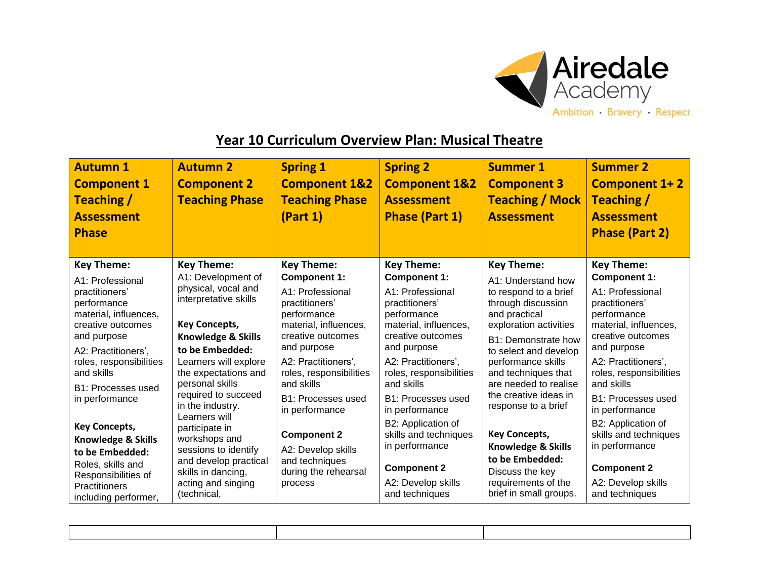

## **Year 10 Curriculum Overview Plan: Musical Theatre**

| <b>Autumn 1</b><br><b>Component 1</b><br>Teaching /<br><b>Assessment</b><br><b>Phase</b> | <b>Autumn 2</b><br><b>Component 2</b><br><b>Teaching Phase</b>              | <b>Spring 1</b><br><b>Component 1&amp;2</b><br><b>Teaching Phase</b><br>(Part 1) | <b>Spring 2</b><br><b>Component 1&amp;2</b><br><b>Assessment</b><br><b>Phase (Part 1)</b> | <b>Summer 1</b><br><b>Component 3</b><br><b>Teaching / Mock</b><br><b>Assessment</b>   | <b>Summer 2</b><br><b>Component 1+2</b><br>Teaching /<br><b>Assessment</b><br><b>Phase (Part 2)</b> |
|------------------------------------------------------------------------------------------|-----------------------------------------------------------------------------|----------------------------------------------------------------------------------|-------------------------------------------------------------------------------------------|----------------------------------------------------------------------------------------|-----------------------------------------------------------------------------------------------------|
| <b>Key Theme:</b><br>A1: Professional                                                    | <b>Key Theme:</b><br>A1: Development of                                     | <b>Key Theme:</b><br><b>Component 1:</b>                                         | <b>Key Theme:</b><br><b>Component 1:</b>                                                  | <b>Key Theme:</b><br>A1: Understand how                                                | <b>Key Theme:</b><br><b>Component 1:</b>                                                            |
| practitioners'<br>performance<br>material, influences,<br>creative outcomes              | physical, vocal and<br>interpretative skills<br><b>Key Concepts,</b>        | A1: Professional<br>practitioners'<br>performance<br>material, influences,       | A1: Professional<br>practitioners'<br>performance<br>material, influences,                | to respond to a brief<br>through discussion<br>and practical<br>exploration activities | A1: Professional<br>practitioners'<br>performance<br>material, influences,                          |
| and purpose<br>A2: Practitioners',                                                       | <b>Knowledge &amp; Skills</b><br>to be Embedded:                            | creative outcomes<br>and purpose                                                 | creative outcomes<br>and purpose                                                          | <b>B1: Demonstrate how</b><br>to select and develop                                    | creative outcomes<br>and purpose                                                                    |
| roles, responsibilities<br>and skills                                                    | Learners will explore<br>the expectations and                               | A2: Practitioners',<br>roles, responsibilities                                   | A2: Practitioners',<br>roles, responsibilities                                            | performance skills<br>and techniques that                                              | A2: Practitioners',<br>roles, responsibilities                                                      |
| B1: Processes used<br>in performance                                                     | personal skills<br>required to succeed<br>in the industry.<br>Learners will | and skills<br>B1: Processes used<br>in performance                               | and skills<br>B1: Processes used<br>in performance                                        | are needed to realise<br>the creative ideas in<br>response to a brief                  | and skills<br>B1: Processes used<br>in performance                                                  |
| <b>Key Concepts,</b><br>Knowledge & Skills<br>to be Embedded:                            | participate in<br>workshops and<br>sessions to identify                     | <b>Component 2</b><br>A2: Develop skills                                         | B2: Application of<br>skills and techniques<br>in performance                             | <b>Key Concepts,</b><br><b>Knowledge &amp; Skills</b>                                  | B2: Application of<br>skills and techniques<br>in performance                                       |
| Roles, skills and<br>Responsibilities of                                                 | and develop practical<br>skills in dancing,<br>acting and singing           | and techniques<br>during the rehearsal<br>process                                | <b>Component 2</b><br>A2: Develop skills                                                  | to be Embedded:<br>Discuss the key<br>requirements of the                              | <b>Component 2</b><br>A2: Develop skills                                                            |
| <b>Practitioners</b><br>including performer,                                             | (technical,                                                                 |                                                                                  | and techniques                                                                            | brief in small groups.                                                                 | and techniques                                                                                      |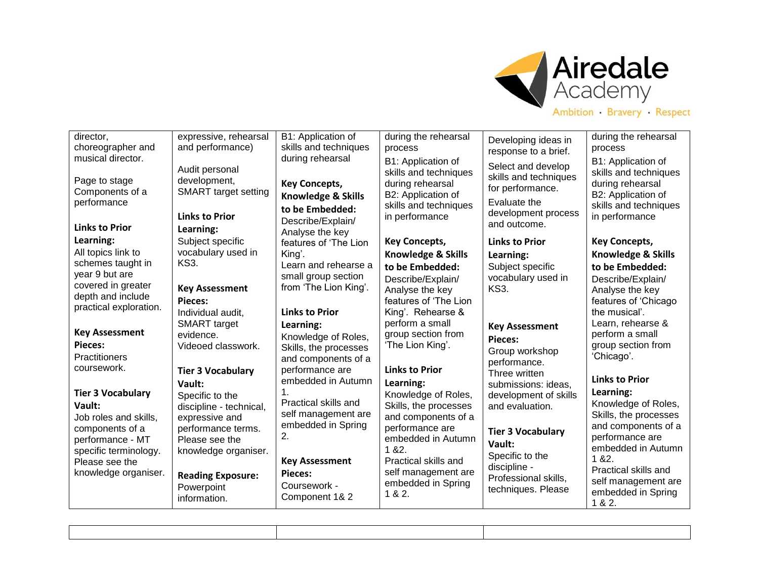

| director,<br>choreographer and<br>musical director.                                                                                                                                                                                                                                                                                                          | expressive, rehearsal<br>and performance)<br>Audit personal                                                                                                                                                                                                                                                                                             | B1: Application of<br>skills and techniques<br>during rehearsal                                                                                                                                                                                                                                                                                                             | during the rehearsal<br>process<br>B1: Application of                                                                                                                                                                                                                                                                                                                                                               | Developing ideas in<br>response to a brief.<br>Select and develop                                                                                                                                                                                                                                                                             | during the rehearsal<br>process<br>B1: Application of                                                                                                                                                                                                                                                                                                                                                                        |
|--------------------------------------------------------------------------------------------------------------------------------------------------------------------------------------------------------------------------------------------------------------------------------------------------------------------------------------------------------------|---------------------------------------------------------------------------------------------------------------------------------------------------------------------------------------------------------------------------------------------------------------------------------------------------------------------------------------------------------|-----------------------------------------------------------------------------------------------------------------------------------------------------------------------------------------------------------------------------------------------------------------------------------------------------------------------------------------------------------------------------|---------------------------------------------------------------------------------------------------------------------------------------------------------------------------------------------------------------------------------------------------------------------------------------------------------------------------------------------------------------------------------------------------------------------|-----------------------------------------------------------------------------------------------------------------------------------------------------------------------------------------------------------------------------------------------------------------------------------------------------------------------------------------------|------------------------------------------------------------------------------------------------------------------------------------------------------------------------------------------------------------------------------------------------------------------------------------------------------------------------------------------------------------------------------------------------------------------------------|
| Page to stage<br>Components of a<br>performance<br><b>Links to Prior</b>                                                                                                                                                                                                                                                                                     | development,<br><b>SMART</b> target setting<br><b>Links to Prior</b><br>Learning:                                                                                                                                                                                                                                                                       | <b>Key Concepts,</b><br><b>Knowledge &amp; Skills</b><br>to be Embedded:<br>Describe/Explain/<br>Analyse the key                                                                                                                                                                                                                                                            | skills and techniques<br>during rehearsal<br>B2: Application of<br>skills and techniques<br>in performance                                                                                                                                                                                                                                                                                                          | skills and techniques<br>for performance.<br>Evaluate the<br>development process<br>and outcome.                                                                                                                                                                                                                                              | skills and techniques<br>during rehearsal<br>B2: Application of<br>skills and techniques<br>in performance                                                                                                                                                                                                                                                                                                                   |
| Learning:                                                                                                                                                                                                                                                                                                                                                    | Subject specific                                                                                                                                                                                                                                                                                                                                        | features of 'The Lion                                                                                                                                                                                                                                                                                                                                                       | <b>Key Concepts,</b>                                                                                                                                                                                                                                                                                                                                                                                                | <b>Links to Prior</b>                                                                                                                                                                                                                                                                                                                         | <b>Key Concepts,</b>                                                                                                                                                                                                                                                                                                                                                                                                         |
| All topics link to                                                                                                                                                                                                                                                                                                                                           | vocabulary used in                                                                                                                                                                                                                                                                                                                                      | King'.                                                                                                                                                                                                                                                                                                                                                                      | <b>Knowledge &amp; Skills</b>                                                                                                                                                                                                                                                                                                                                                                                       | Learning:                                                                                                                                                                                                                                                                                                                                     | <b>Knowledge &amp; Skills</b>                                                                                                                                                                                                                                                                                                                                                                                                |
| schemes taught in<br>year 9 but are<br>covered in greater<br>depth and include<br>practical exploration.<br><b>Key Assessment</b><br>Pieces:<br><b>Practitioners</b><br>coursework.<br><b>Tier 3 Vocabulary</b><br>Vault:<br>Job roles and skills,<br>components of a<br>performance - MT<br>specific terminology.<br>Please see the<br>knowledge organiser. | KS3.<br><b>Key Assessment</b><br>Pieces:<br>Individual audit,<br><b>SMART</b> target<br>evidence.<br>Videoed classwork.<br><b>Tier 3 Vocabulary</b><br>Vault:<br>Specific to the<br>discipline - technical,<br>expressive and<br>performance terms.<br>Please see the<br>knowledge organiser.<br><b>Reading Exposure:</b><br>Powerpoint<br>information. | Learn and rehearse a<br>small group section<br>from 'The Lion King'.<br><b>Links to Prior</b><br>Learning:<br>Knowledge of Roles,<br>Skills, the processes<br>and components of a<br>performance are<br>embedded in Autumn<br>Practical skills and<br>self management are<br>embedded in Spring<br>2.<br><b>Key Assessment</b><br>Pieces:<br>Coursework -<br>Component 1& 2 | to be Embedded:<br>Describe/Explain/<br>Analyse the key<br>features of 'The Lion<br>King'. Rehearse &<br>perform a small<br>group section from<br>'The Lion King'.<br><b>Links to Prior</b><br>Learning:<br>Knowledge of Roles,<br>Skills, the processes<br>and components of a<br>performance are<br>embedded in Autumn<br>182.<br>Practical skills and<br>self management are<br>embedded in Spring<br>1 & 8 & 2. | Subject specific<br>vocabulary used in<br><b>KS3.</b><br><b>Key Assessment</b><br><b>Pieces:</b><br>Group workshop<br>performance.<br>Three written<br>submissions: ideas.<br>development of skills<br>and evaluation.<br><b>Tier 3 Vocabulary</b><br>Vault:<br>Specific to the<br>discipline -<br>Professional skills,<br>techniques. Please | to be Embedded:<br>Describe/Explain/<br>Analyse the key<br>features of 'Chicago<br>the musical'.<br>Learn, rehearse &<br>perform a small<br>group section from<br>'Chicago'.<br><b>Links to Prior</b><br>Learning:<br>Knowledge of Roles,<br>Skills, the processes<br>and components of a<br>performance are<br>embedded in Autumn<br>1 & 82.<br>Practical skills and<br>self management are<br>embedded in Spring<br>1 & 2. |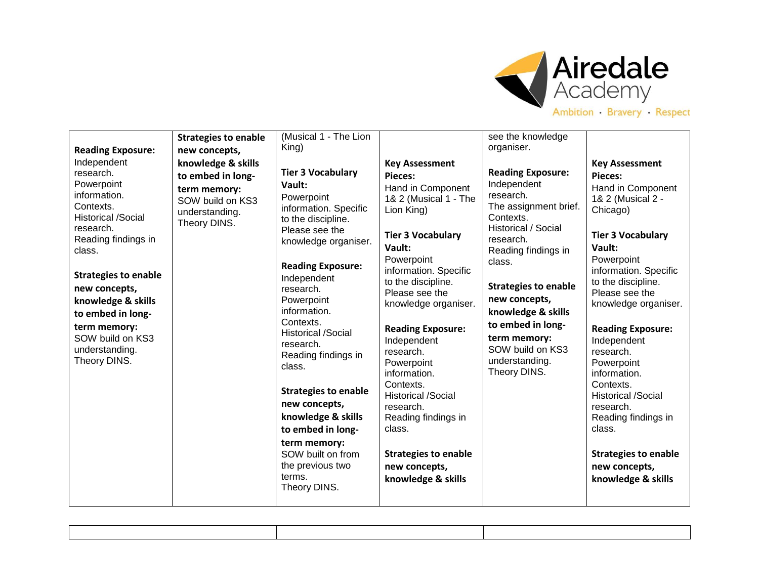

| Ambition Bravery Respect |  |  |  |
|--------------------------|--|--|--|
|--------------------------|--|--|--|

|                                                                                                                                                                                                                                                                                                                                             | <b>Strategies to enable</b>                                                                                                    | (Musical 1 - The Lion<br>King)                                                                                                                                                                                                                                                                                                                                                                                                                                                                        |                                                                                                                                                                                                                                                                                                                                                                                                                                                                                               | see the knowledge<br>organiser.                                                                                                                                                                                                                                                                                                  |                                                                                                                                                                                                                                                                                                                                                                                                                                                                                         |
|---------------------------------------------------------------------------------------------------------------------------------------------------------------------------------------------------------------------------------------------------------------------------------------------------------------------------------------------|--------------------------------------------------------------------------------------------------------------------------------|-------------------------------------------------------------------------------------------------------------------------------------------------------------------------------------------------------------------------------------------------------------------------------------------------------------------------------------------------------------------------------------------------------------------------------------------------------------------------------------------------------|-----------------------------------------------------------------------------------------------------------------------------------------------------------------------------------------------------------------------------------------------------------------------------------------------------------------------------------------------------------------------------------------------------------------------------------------------------------------------------------------------|----------------------------------------------------------------------------------------------------------------------------------------------------------------------------------------------------------------------------------------------------------------------------------------------------------------------------------|-----------------------------------------------------------------------------------------------------------------------------------------------------------------------------------------------------------------------------------------------------------------------------------------------------------------------------------------------------------------------------------------------------------------------------------------------------------------------------------------|
| <b>Reading Exposure:</b><br>Independent<br>research.<br>Powerpoint<br>information.<br>Contexts.<br><b>Historical /Social</b><br>research.<br>Reading findings in<br>class.<br><b>Strategies to enable</b><br>new concepts,<br>knowledge & skills<br>to embed in long-<br>term memory:<br>SOW build on KS3<br>understanding.<br>Theory DINS. | new concepts,<br>knowledge & skills<br>to embed in long-<br>term memory:<br>SOW build on KS3<br>understanding.<br>Theory DINS. | <b>Tier 3 Vocabulary</b><br>Vault:<br>Powerpoint<br>information. Specific<br>to the discipline.<br>Please see the<br>knowledge organiser.<br><b>Reading Exposure:</b><br>Independent<br>research.<br>Powerpoint<br>information.<br>Contexts.<br><b>Historical /Social</b><br>research.<br>Reading findings in<br>class.<br><b>Strategies to enable</b><br>new concepts,<br>knowledge & skills<br>to embed in long-<br>term memory:<br>SOW built on from<br>the previous two<br>terms.<br>Theory DINS. | <b>Key Assessment</b><br>Pieces:<br>Hand in Component<br>1& 2 (Musical 1 - The<br>Lion King)<br><b>Tier 3 Vocabulary</b><br>Vault:<br>Powerpoint<br>information. Specific<br>to the discipline.<br>Please see the<br>knowledge organiser.<br><b>Reading Exposure:</b><br>Independent<br>research.<br>Powerpoint<br>information.<br>Contexts.<br><b>Historical /Social</b><br>research.<br>Reading findings in<br>class.<br><b>Strategies to enable</b><br>new concepts,<br>knowledge & skills | <b>Reading Exposure:</b><br>Independent<br>research.<br>The assignment brief.<br>Contexts.<br>Historical / Social<br>research.<br>Reading findings in<br>class.<br><b>Strategies to enable</b><br>new concepts,<br>knowledge & skills<br>to embed in long-<br>term memory:<br>SOW build on KS3<br>understanding.<br>Theory DINS. | <b>Key Assessment</b><br>Pieces:<br>Hand in Component<br>1& 2 (Musical 2 -<br>Chicago)<br><b>Tier 3 Vocabulary</b><br>Vault:<br>Powerpoint<br>information. Specific<br>to the discipline.<br>Please see the<br>knowledge organiser.<br><b>Reading Exposure:</b><br>Independent<br>research.<br>Powerpoint<br>information.<br>Contexts.<br><b>Historical /Social</b><br>research.<br>Reading findings in<br>class.<br><b>Strategies to enable</b><br>new concepts,<br>knowledge & skills |